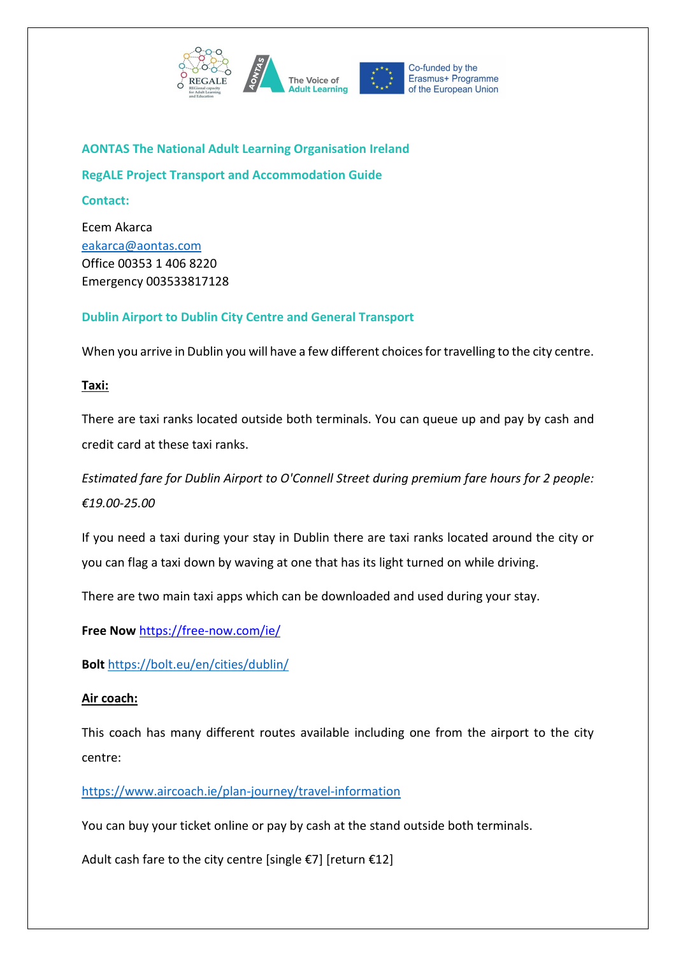

**AONTAS The National Adult Learning Organisation Ireland**

**RegALE Project Transport and Accommodation Guide**

**Contact:** 

Ecem Akarca [eakarca@aontas.com](mailto:eakarca@aontas.com) Office 00353 1 406 8220 Emergency 003533817128

# **Dublin Airport to Dublin City Centre and General Transport**

When you arrive in Dublin you will have a few different choices for travelling to the city centre.

**Taxi:** 

There are taxi ranks located outside both terminals. You can queue up and pay by cash and credit card at these taxi ranks.

*Estimated fare for Dublin Airport to O'Connell Street during premium fare hours for 2 people: €19.00-25.00*

If you need a taxi during your stay in Dublin there are taxi ranks located around the city or you can flag a taxi down by waving at one that has its light turned on while driving.

There are two main taxi apps which can be downloaded and used during your stay.

**Free Now** <https://free-now.com/ie/>

**Bolt** <https://bolt.eu/en/cities/dublin/>

# **Air coach:**

This coach has many different routes available including one from the airport to the city centre:

<https://www.aircoach.ie/plan-journey/travel-information>

You can buy your ticket online or pay by cash at the stand outside both terminals.

Adult cash fare to the city centre [single  $\epsilon$ 7] [return  $\epsilon$ 12]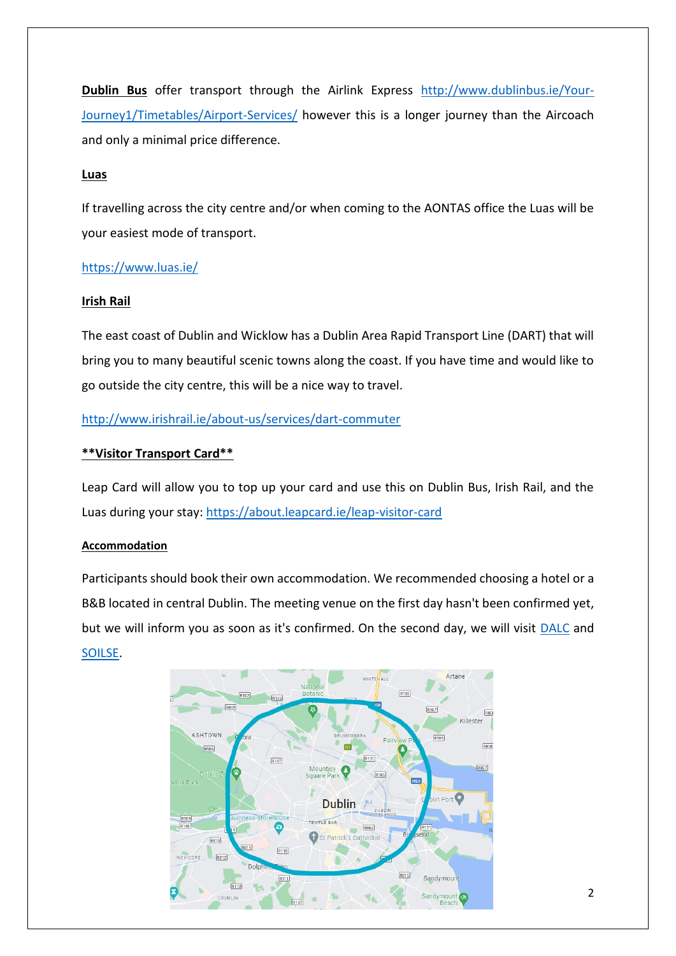**Dublin Bus** offer transport through the Airlink Express [http://www.dublinbus.ie/Your-](http://www.dublinbus.ie/Your-Journey1/Timetables/Airport-Services/)[Journey1/Timetables/Airport-Services/](http://www.dublinbus.ie/Your-Journey1/Timetables/Airport-Services/) however this is a longer journey than the Aircoach and only a minimal price difference.

#### **Luas**

If travelling across the city centre and/or when coming to the AONTAS office the Luas will be your easiest mode of transport.

## <https://www.luas.ie/>

#### **Irish Rail**

The east coast of Dublin and Wicklow has a Dublin Area Rapid Transport Line (DART) that will bring you to many beautiful scenic towns along the coast. If you have time and would like to go outside the city centre, this will be a nice way to travel.

## <http://www.irishrail.ie/about-us/services/dart-commuter>

## **\*\*Visitor Transport Card\*\***

Leap Card will allow you to top up your card and use this on Dublin Bus, Irish Rail, and the Luas during your stay:<https://about.leapcard.ie/leap-visitor-card>

#### **Accommodation**

Participants should book their own accommodation. We recommended choosing a hotel or a B&B located in central Dublin. The meeting venue on the first day hasn't been confirmed yet, but we will inform you as soon as it's confirmed. On the second day, we will visit [DALC](https://g.page/dalcdublin?share) and [SOILSE.](https://goo.gl/maps/6s3Dc9CBez7vcT289)